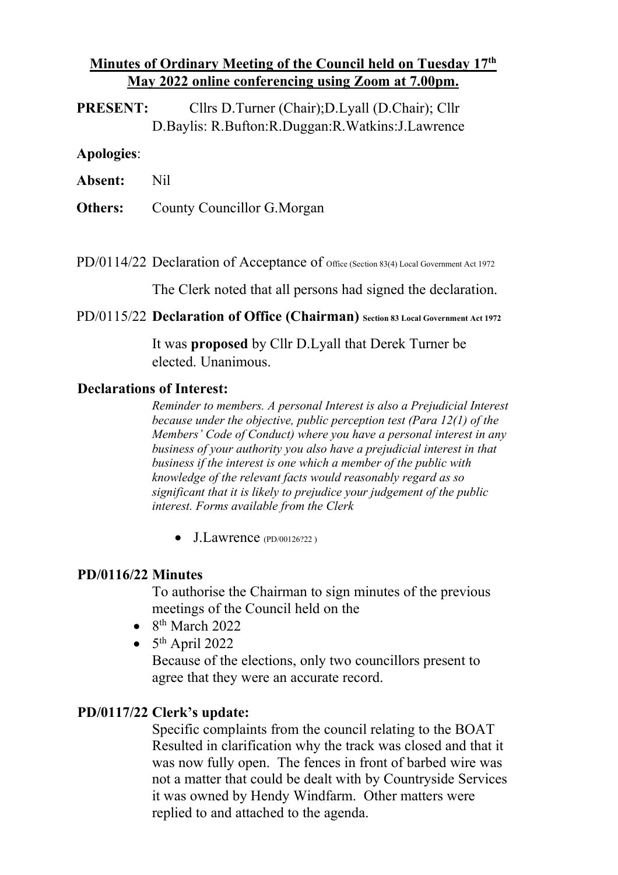## **Minutes of Ordinary Meeting of the Council held on Tuesday 17th May 2022 online conferencing using Zoom at 7.00pm.**

**PRESENT:** Cllrs D.Turner (Chair);D.Lyall (D.Chair); Cllr D.Baylis: R.Bufton:R.Duggan:R.Watkins:J.Lawrence

#### **Apologies**:

**Absent:** Nil

**Others:** County Councillor G.Morgan

PD/0114/22 Declaration of Acceptance of office (Section 83(4) Local Government Act 1972

The Clerk noted that all persons had signed the declaration.

PD/0115/22 **Declaration of Office (Chairman) Section 83 Local Government Act 1972**

It was **proposed** by Cllr D.Lyall that Derek Turner be elected. Unanimous.

#### **Declarations of Interest:**

*Reminder to members. A personal Interest is also a Prejudicial Interest because under the objective, public perception test (Para 12(1) of the Members' Code of Conduct) where you have a personal interest in any business of your authority you also have a prejudicial interest in that business if the interest is one which a member of the public with knowledge of the relevant facts would reasonably regard as so significant that it is likely to prejudice your judgement of the public interest. Forms available from the Clerk*

• J.Lawrence (PD/00126?22)

#### **PD/0116/22 Minutes**

To authorise the Chairman to sign minutes of the previous meetings of the Council held on the

- $\bullet$  8<sup>th</sup> March 2022
- $5<sup>th</sup>$  April 2022

Because of the elections, only two councillors present to agree that they were an accurate record.

#### **PD/0117/22 Clerk's update:**

Specific complaints from the council relating to the BOAT Resulted in clarification why the track was closed and that it was now fully open. The fences in front of barbed wire was not a matter that could be dealt with by Countryside Services it was owned by Hendy Windfarm. Other matters were replied to and attached to the agenda.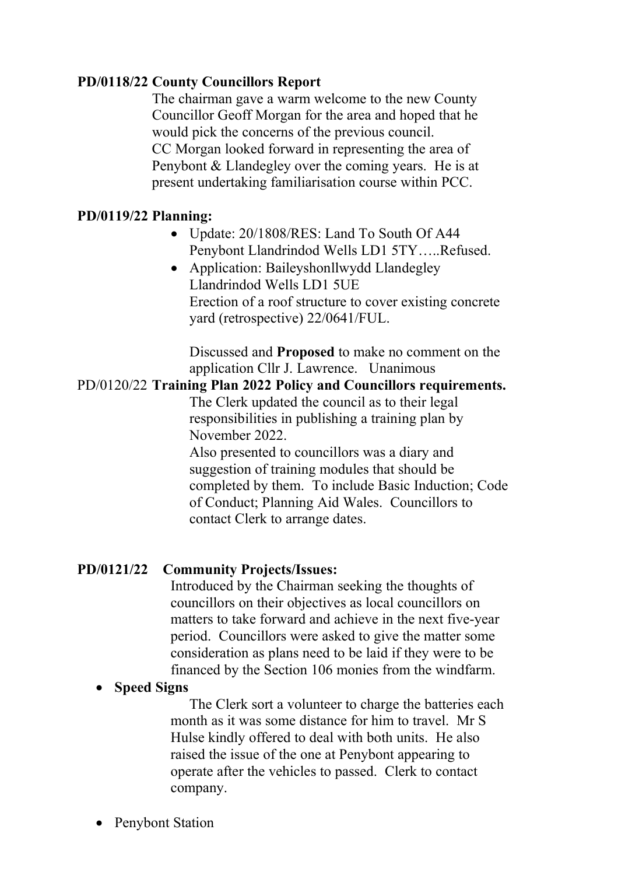## **PD/0118/22 County Councillors Report**

The chairman gave a warm welcome to the new County Councillor Geoff Morgan for the area and hoped that he would pick the concerns of the previous council. CC Morgan looked forward in representing the area of Penybont & Llandegley over the coming years. He is at present undertaking familiarisation course within PCC.

### **PD/0119/22 Planning:**

- Update: 20/1808/RES: Land To South Of A44 Penybont Llandrindod Wells LD1 5TY…..Refused.
- Application: Baileyshonllwydd Llandegley Llandrindod Wells LD1 5UE Erection of a roof structure to cover existing concrete yard (retrospective) 22/0641/FUL.

Discussed and **Proposed** to make no comment on the application Cllr J. Lawrence. Unanimous

#### PD/0120/22 **Training Plan 2022 Policy and Councillors requirements.**

The Clerk updated the council as to their legal responsibilities in publishing a training plan by November 2022.

Also presented to councillors was a diary and suggestion of training modules that should be completed by them. To include Basic Induction; Code of Conduct; Planning Aid Wales. Councillors to contact Clerk to arrange dates.

## **PD/0121/22 Community Projects/Issues:**

Introduced by the Chairman seeking the thoughts of councillors on their objectives as local councillors on matters to take forward and achieve in the next five-year period. Councillors were asked to give the matter some consideration as plans need to be laid if they were to be financed by the Section 106 monies from the windfarm.

#### • **Speed Signs**

The Clerk sort a volunteer to charge the batteries each month as it was some distance for him to travel. Mr S Hulse kindly offered to deal with both units. He also raised the issue of the one at Penybont appearing to operate after the vehicles to passed. Clerk to contact company.

Penybont Station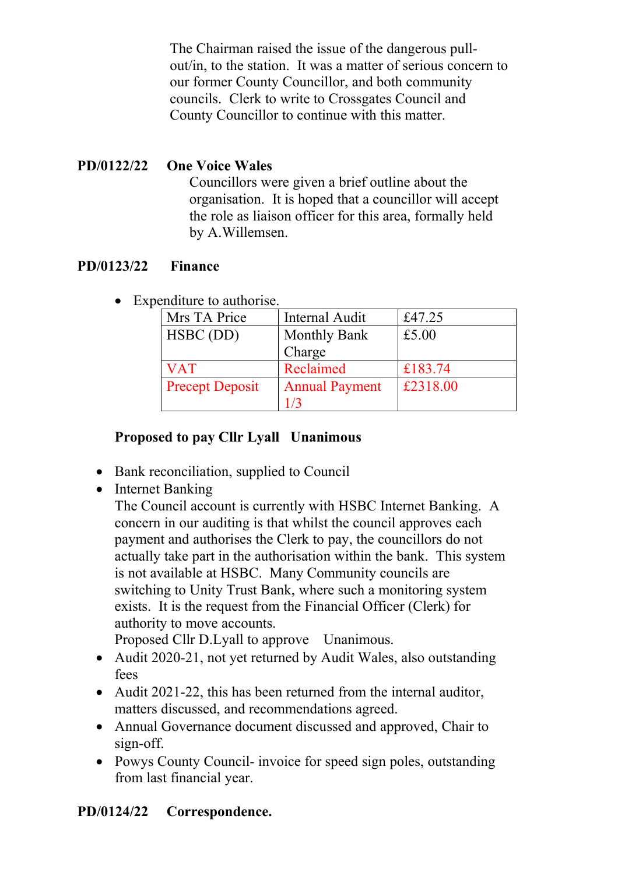The Chairman raised the issue of the dangerous pullout/in, to the station. It was a matter of serious concern to our former County Councillor, and both community councils. Clerk to write to Crossgates Council and County Councillor to continue with this matter.

# **PD/0122/22 One Voice Wales**

Councillors were given a brief outline about the organisation. It is hoped that a councillor will accept the role as liaison officer for this area, formally held by A.Willemsen.

# **PD/0123/22 Finance**

• Expenditure to authorise.

| Mrs TA Price           | <b>Internal Audit</b> | £47.25   |
|------------------------|-----------------------|----------|
| HSBC (DD)              | <b>Monthly Bank</b>   | £5.00    |
|                        | Charge                |          |
| <b>VAT</b>             | Reclaimed             | £183.74  |
| <b>Precept Deposit</b> | <b>Annual Payment</b> | £2318.00 |
|                        | 1 / 3                 |          |

# **Proposed to pay Cllr Lyall Unanimous**

- Bank reconciliation, supplied to Council
- Internet Banking

The Council account is currently with HSBC Internet Banking. A concern in our auditing is that whilst the council approves each payment and authorises the Clerk to pay, the councillors do not actually take part in the authorisation within the bank. This system is not available at HSBC. Many Community councils are switching to Unity Trust Bank, where such a monitoring system exists. It is the request from the Financial Officer (Clerk) for authority to move accounts.

Proposed Cllr D.Lyall to approve Unanimous.

- Audit 2020-21, not yet returned by Audit Wales, also outstanding fees
- Audit 2021-22, this has been returned from the internal auditor, matters discussed, and recommendations agreed.
- Annual Governance document discussed and approved, Chair to sign-off.
- Powys County Council- invoice for speed sign poles, outstanding from last financial year.

# **PD/0124/22 Correspondence.**